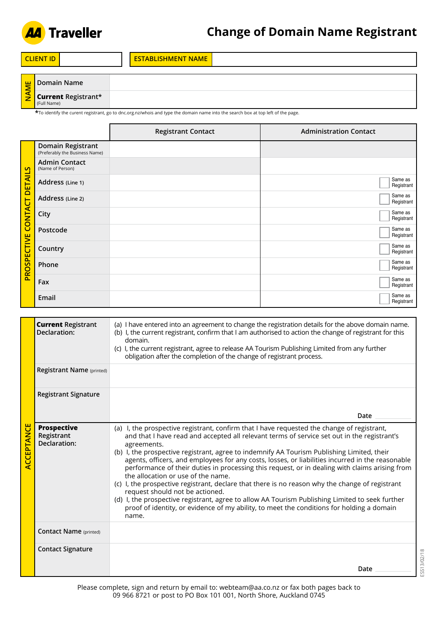

| l Cl<br>NH |  | <b>NAME</b><br>$\overline{a}$ and $\overline{a}$ and $\overline{a}$<br>ÆN F<br>AVI F |  |
|------------|--|--------------------------------------------------------------------------------------|--|
|            |  |                                                                                      |  |

| 뿓 | l Domain Name                                    |  |
|---|--------------------------------------------------|--|
|   | $\frac{1}{2}$ Current Registrant*<br>(Full Name) |  |

**\***To identify the curent registrant, go to dnc.org.nz/whois and type the domain name into the search box at top left of the page.

|                                                 |                                                     | <b>Registrant Contact</b> | <b>Administration Contact</b> |
|-------------------------------------------------|-----------------------------------------------------|---------------------------|-------------------------------|
| <b>DETAILS</b><br><b>CONTACT</b><br>PROSPECTIVE | Domain Registrant<br>(Preferably the Business Name) |                           |                               |
|                                                 | <b>Admin Contact</b><br>(Name of Person)            |                           |                               |
|                                                 | Address (Line 1)                                    |                           | Same as<br>Registrant         |
|                                                 | Address (Line 2)                                    |                           | Same as<br>Registrant         |
|                                                 | City                                                |                           | Same as<br>Registrant         |
|                                                 | Postcode                                            |                           | Same as<br>Registrant         |
|                                                 | Country                                             |                           | Same as<br>Registrant         |
|                                                 | Phone                                               |                           | Same as<br>Registrant         |
|                                                 | Fax                                                 |                           | Same as<br>Registrant         |
|                                                 | Email                                               |                           | Same as<br>Registrant         |

| <b>ACCEPTANCE</b> | <b>Current Registrant</b><br>Declaration:        | (a) I have entered into an agreement to change the registration details for the above domain name.<br>(b) I, the current registrant, confirm that I am authorised to action the change of registrant for this<br>domain.<br>(c) I, the current registrant, agree to release AA Tourism Publishing Limited from any further<br>obligation after the completion of the change of registrant process.                                                                                                                                                                                                                                                                                                                                                                                                                                                                                                |
|-------------------|--------------------------------------------------|---------------------------------------------------------------------------------------------------------------------------------------------------------------------------------------------------------------------------------------------------------------------------------------------------------------------------------------------------------------------------------------------------------------------------------------------------------------------------------------------------------------------------------------------------------------------------------------------------------------------------------------------------------------------------------------------------------------------------------------------------------------------------------------------------------------------------------------------------------------------------------------------------|
|                   | Registrant Name (printed)                        |                                                                                                                                                                                                                                                                                                                                                                                                                                                                                                                                                                                                                                                                                                                                                                                                                                                                                                   |
|                   | <b>Registrant Signature</b>                      |                                                                                                                                                                                                                                                                                                                                                                                                                                                                                                                                                                                                                                                                                                                                                                                                                                                                                                   |
|                   |                                                  | Date                                                                                                                                                                                                                                                                                                                                                                                                                                                                                                                                                                                                                                                                                                                                                                                                                                                                                              |
|                   | <b>Prospective</b><br>Registrant<br>Declaration: | (a) I, the prospective registrant, confirm that I have requested the change of registrant,<br>and that I have read and accepted all relevant terms of service set out in the registrant's<br>agreements.<br>(b) I, the prospective registrant, agree to indemnify AA Tourism Publishing Limited, their<br>agents, officers, and employees for any costs, losses, or liabilities incurred in the reasonable<br>performance of their duties in processing this request, or in dealing with claims arising from<br>the allocation or use of the name.<br>(c) I, the prospective registrant, declare that there is no reason why the change of registrant<br>request should not be actioned.<br>(d) I, the prospective registrant, agree to allow AA Tourism Publishing Limited to seek further<br>proof of identity, or evidence of my ability, to meet the conditions for holding a domain<br>name. |
|                   | <b>Contact Name</b> (printed)                    |                                                                                                                                                                                                                                                                                                                                                                                                                                                                                                                                                                                                                                                                                                                                                                                                                                                                                                   |
|                   | <b>Contact Signature</b>                         |                                                                                                                                                                                                                                                                                                                                                                                                                                                                                                                                                                                                                                                                                                                                                                                                                                                                                                   |
|                   |                                                  | Date                                                                                                                                                                                                                                                                                                                                                                                                                                                                                                                                                                                                                                                                                                                                                                                                                                                                                              |